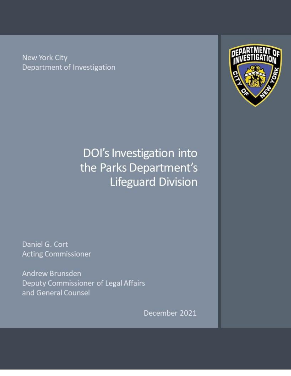New York City Department of Investigation



# DOI's Investigation into the Parks Department's Lifeguard Division

Daniel G. Cort **Acting Commissioner** 

Andrew Brunsden Deputy Commissioner of Legal Affairs and General Counsel

December 2021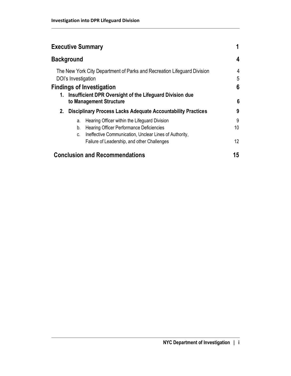| <b>Executive Summary</b>                                                                                                                                                     |         |
|------------------------------------------------------------------------------------------------------------------------------------------------------------------------------|---------|
| <b>Background</b>                                                                                                                                                            | 4       |
| The New York City Department of Parks and Recreation Lifeguard Division<br>DOI's Investigation                                                                               | 4<br>5  |
| <b>Findings of Investigation</b>                                                                                                                                             | 6       |
| Insufficient DPR Oversight of the Lifeguard Division due<br>1.<br>to Management Structure                                                                                    | 6       |
| <b>Disciplinary Process Lacks Adequate Accountability Practices</b><br>2.                                                                                                    | 9       |
| Hearing Officer within the Lifeguard Division<br>a.<br><b>Hearing Officer Performance Deficiencies</b><br>b.<br>Ineffective Communication, Unclear Lines of Authority,<br>C. | 9<br>10 |
| Failure of Leadership, and other Challenges                                                                                                                                  | 12      |
| <b>Conclusion and Recommendations</b>                                                                                                                                        | 15      |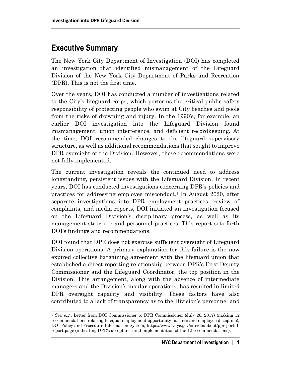# **Executive Summary**

The New York City Department of Investigation (DOI) has completed an investigation that identified mismanagement of the Lifeguard Division of the New York City Department of Parks and Recreation (DPR). This is not the first time.

Over the years, DOI has conducted a number of investigations related to the City's lifeguard corps, which performs the critical public safety responsibility of protecting people who swim at City beaches and pools from the risks of drowning and injury. In the 1990's, for example, an earlier DOI investigation into the Lifeguard Division found mismanagement, union interference, and deficient recordkeeping. At the time, DOI recommended changes to the lifeguard supervisory structure, as well as additional recommendations that sought to improve DPR oversight of the Division. However, these recommendations were not fully implemented.

The current investigation reveals the continued need to address longstanding, persistent issues with the Lifeguard Division. In recent years, DOI has conducted investigations concerning DPR's policies and practices for addressing employee misconduct. <sup>1</sup> In August 2020, after separate investigations into DPR employment practices, review of complaints, and media reports, DOI initiated an investigation focused on the Lifeguard Division's disciplinary process, as well as its management structure and personnel practices. This report sets forth DOI's findings and recommendations.

DOI found that DPR does not exercise sufficient oversight of Lifeguard Division operations. A primary explanation for this failure is the now expired collective bargaining agreement with the lifeguard union that established a direct reporting relationship between DPR's First Deputy Commissioner and the Lifeguard Coordinator, the top position in the Division. This arrangement, along with the absence of intermediate managers and the Division's insular operations, has resulted in limited DPR oversight capacity and visibility. These factors have also contributed to a lack of transparency as to the Division's personnel and

<sup>1</sup> *See, e.g.*, Letter from DOI Commissioner to DPR Commissioner (July 26, 2017) (making 12 recommendations relating to equal employment opportunity matters and employee discipline); DOI Policy and Procedure Information System, https://www1.nyc.gov/site/doi/about/ppr-portalreport.page (indicating DPR's acceptance and implementation of the 12 recommendations).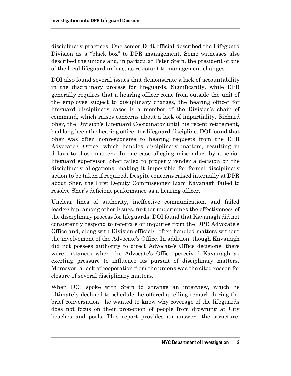disciplinary practices. One senior DPR official described the Lifeguard Division as a "black box" to DPR management. Some witnesses also described the unions and, in particular Peter Stein, the president of one of the local lifeguard unions, as resistant to management changes.

DOI also found several issues that demonstrate a lack of accountability in the disciplinary process for lifeguards. Significantly, while DPR generally requires that a hearing officer come from outside the unit of the employee subject to disciplinary charges, the hearing officer for lifeguard disciplinary cases is a member of the Division's chain of command, which raises concerns about a lack of impartiality. Richard Sher, the Division's Lifeguard Coordinator until his recent retirement, had long been the hearing officer for lifeguard discipline. DOI found that Sher was often nonresponsive to hearing requests from the DPR Advocate's Office, which handles disciplinary matters, resulting in delays to those matters. In one case alleging misconduct by a senior lifeguard supervisor, Sher failed to properly render a decision on the disciplinary allegations, making it impossible for formal disciplinary action to be taken if required. Despite concerns raised internally at DPR about Sher, the First Deputy Commissioner Liam Kavanagh failed to resolve Sher's deficient performance as a hearing officer.

Unclear lines of authority, ineffective communication, and failed leadership, among other issues, further undermines the effectiveness of the disciplinary process for lifeguards. DOI found that Kavanagh did not consistently respond to referrals or inquiries from the DPR Advocate's Office and, along with Division officials, often handled matters without the involvement of the Advocate's Office. In addition, though Kavanagh did not possess authority to direct Advocate's Office decisions, there were instances when the Advocate's Office perceived Kavanagh as exerting pressure to influence its pursuit of disciplinary matters. Moreover, a lack of cooperation from the unions was the cited reason for closure of several disciplinary matters.

When DOI spoke with Stein to arrange an interview, which he ultimately declined to schedule, he offered a telling remark during the brief conversation: he wanted to know why coverage of the lifeguards does not focus on their protection of people from drowning at City beaches and pools. This report provides an answer—the structure,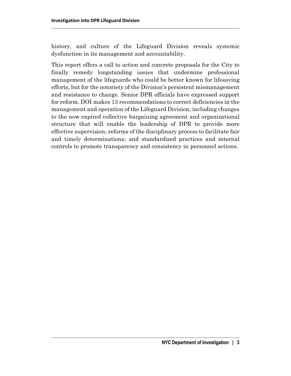history, and culture of the Lifeguard Division reveals systemic dysfunction in its management and accountability.

This report offers a call to action and concrete proposals for the City to finally remedy longstanding issues that undermine professional management of the lifeguards who could be better known for lifesaving efforts, but for the notoriety of the Division's persistent mismanagement and resistance to change. Senior DPR officials have expressed support for reform. DOI makes 13 recommendations to correct deficiencies in the management and operation of the Lifeguard Division, including changes to the now expired collective bargaining agreement and organizational structure that will enable the leadership of DPR to provide more effective supervision; reforms of the disciplinary process to facilitate fair and timely determinations; and standardized practices and internal controls to promote transparency and consistency in personnel actions.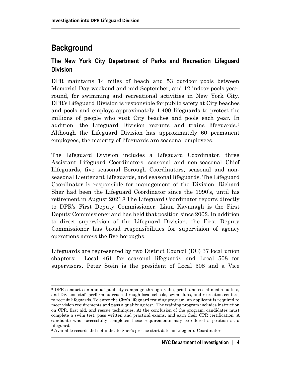# **Background**

#### **The New York City Department of Parks and Recreation Lifeguard Division**

DPR maintains 14 miles of beach and 53 outdoor pools between Memorial Day weekend and mid-September, and 12 indoor pools yearround, for swimming and recreational activities in New York City. DPR's Lifeguard Division is responsible for public safety at City beaches and pools and employs approximately 1,400 lifeguards to protect the millions of people who visit City beaches and pools each year. In addition, the Lifeguard Division recruits and trains lifeguards.<sup>2</sup> Although the Lifeguard Division has approximately 60 permanent employees, the majority of lifeguards are seasonal employees.

The Lifeguard Division includes a Lifeguard Coordinator, three Assistant Lifeguard Coordinators, seasonal and non-seasonal Chief Lifeguards, five seasonal Borough Coordinators, seasonal and nonseasonal Lieutenant Lifeguards, and seasonal lifeguards. The Lifeguard Coordinator is responsible for management of the Division. Richard Sher had been the Lifeguard Coordinator since the 1990's, until his retirement in August 2021.<sup>3</sup> The Lifeguard Coordinator reports directly to DPR's First Deputy Commissioner. Liam Kavanagh is the First Deputy Commissioner and has held that position since 2002. In addition to direct supervision of the Lifeguard Division, the First Deputy Commissioner has broad responsibilities for supervision of agency operations across the five boroughs.

Lifeguards are represented by two District Council (DC) 37 local union chapters: Local 461 for seasonal lifeguards and Local 508 for supervisors. Peter Stein is the president of Local 508 and a Vice

<sup>2</sup> DPR conducts an annual publicity campaign through radio, print, and social media outlets, and Division staff perform outreach through local schools, swim clubs, and recreation centers, to recruit lifeguards. To enter the City's lifeguard training program, an applicant is required to meet vision requirements and pass a qualifying test. The training program includes instruction on CPR, first aid, and rescue techniques. At the conclusion of the program, candidates must complete a swim test, pass written and practical exams, and earn their CPR certification. A candidate who successfully completes these requirements may be offered a position as a lifeguard.

<sup>3</sup> Available records did not indicate Sher's precise start date as Lifeguard Coordinator.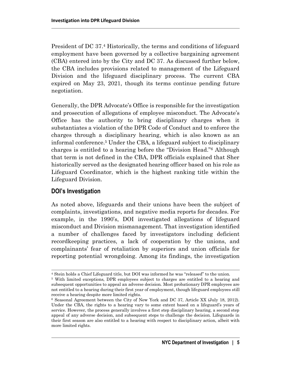President of DC 37.<sup>4</sup> Historically, the terms and conditions of lifeguard employment have been governed by a collective bargaining agreement (CBA) entered into by the City and DC 37. As discussed further below, the CBA includes provisions related to management of the Lifeguard Division and the lifeguard disciplinary process. The current CBA expired on May 23, 2021, though its terms continue pending future negotiation.

Generally, the DPR Advocate's Office is responsible for the investigation and prosecution of allegations of employee misconduct. The Advocate's Office has the authority to bring disciplinary charges when it substantiates a violation of the DPR Code of Conduct and to enforce the charges through a disciplinary hearing, which is also known as an informal conference. <sup>5</sup> Under the CBA, a lifeguard subject to disciplinary charges is entitled to a hearing before the "Division Head."<sup>6</sup> Although that term is not defined in the CBA, DPR officials explained that Sher historically served as the designated hearing officer based on his role as Lifeguard Coordinator, which is the highest ranking title within the Lifeguard Division.

#### **DOI's Investigation**

As noted above, lifeguards and their unions have been the subject of complaints, investigations, and negative media reports for decades. For example, in the 1990's, DOI investigated allegations of lifeguard misconduct and Division mismanagement. That investigation identified a number of challenges faced by investigators including deficient recordkeeping practices, a lack of cooperation by the unions, and complainants' fear of retaliation by superiors and union officials for reporting potential wrongdoing. Among its findings, the investigation

<sup>4</sup> Stein holds a Chief Lifeguard title, but DOI was informed he was "released" to the union.

<sup>5</sup> With limited exceptions, DPR employees subject to charges are entitled to a hearing and subsequent opportunities to appeal an adverse decision. Most probationary DPR employees are not entitled to a hearing during their first year of employment, though lifeguard employees still receive a hearing despite more limited rights.

<sup>6</sup> Seasonal Agreement between the City of New York and DC 37, Article XX (July 18, 2012). Under the CBA, the rights to a hearing vary to some extent based on a lifeguard's years of service. However, the process generally involves a first step disciplinary hearing, a second step appeal of any adverse decision, and subsequent steps to challenge the decision. Lifeguards in their first season are also entitled to a hearing with respect to disciplinary action, albeit with more limited rights.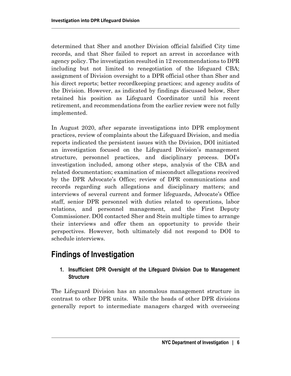determined that Sher and another Division official falsified City time records, and that Sher failed to report an arrest in accordance with agency policy. The investigation resulted in 12 recommendations to DPR including but not limited to renegotiation of the lifeguard CBA; assignment of Division oversight to a DPR official other than Sher and his direct reports; better recordkeeping practices; and agency audits of the Division. However, as indicated by findings discussed below, Sher retained his position as Lifeguard Coordinator until his recent retirement, and recommendations from the earlier review were not fully implemented.

In August 2020, after separate investigations into DPR employment practices, review of complaints about the Lifeguard Division, and media reports indicated the persistent issues with the Division, DOI initiated an investigation focused on the Lifeguard Division's management structure, personnel practices, and disciplinary process. DOI's investigation included, among other steps, analysis of the CBA and related documentation; examination of misconduct allegations received by the DPR Advocate's Office; review of DPR communications and records regarding such allegations and disciplinary matters; and interviews of several current and former lifeguards, Advocate's Office staff, senior DPR personnel with duties related to operations, labor relations, and personnel management, and the First Deputy Commissioner. DOI contacted Sher and Stein multiple times to arrange their interviews and offer them an opportunity to provide their perspectives. However, both ultimately did not respond to DOI to schedule interviews.

### **Findings of Investigation**

#### **1. Insufficient DPR Oversight of the Lifeguard Division Due to Management Structure**

The Lifeguard Division has an anomalous management structure in contrast to other DPR units. While the heads of other DPR divisions generally report to intermediate managers charged with overseeing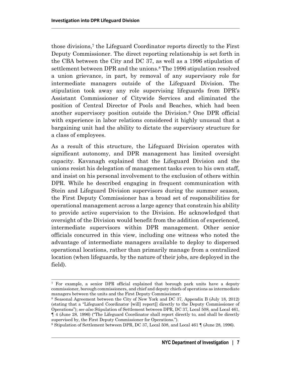those divisions,<sup>7</sup> the Lifeguard Coordinator reports directly to the First Deputy Commissioner. The direct reporting relationship is set forth in the CBA between the City and DC 37, as well as a 1996 stipulation of settlement between DPR and the unions. <sup>8</sup> The 1996 stipulation resolved a union grievance, in part, by removal of any supervisory role for intermediate managers outside of the Lifeguard Division. The stipulation took away any role supervising lifeguards from DPR's Assistant Commissioner of Citywide Services and eliminated the position of Central Director of Pools and Beaches, which had been another supervisory position outside the Division. <sup>9</sup> One DPR official with experience in labor relations considered it highly unusual that a bargaining unit had the ability to dictate the supervisory structure for a class of employees.

As a result of this structure, the Lifeguard Division operates with significant autonomy, and DPR management has limited oversight capacity. Kavanagh explained that the Lifeguard Division and the unions resist his delegation of management tasks even to his own staff, and insist on his personal involvement to the exclusion of others within DPR. While he described engaging in frequent communication with Stein and Lifeguard Division supervisors during the summer season, the First Deputy Commissioner has a broad set of responsibilities for operational management across a large agency that constrain his ability to provide active supervision to the Division. He acknowledged that oversight of the Division would benefit from the addition of experienced, intermediate supervisors within DPR management. Other senior officials concurred in this view, including one witness who noted the advantage of intermediate managers available to deploy to dispersed operational locations, rather than primarily manage from a centralized location (when lifeguards, by the nature of their jobs, are deployed in the field).

<sup>7</sup> For example, a senior DPR official explained that borough park units have a deputy commissioner, borough commissioners, and chief and deputy chiefs of operations as intermediate managers between the units and the First Deputy Commissioner.

<sup>8</sup> Seasonal Agreement between the City of New York and DC 37, Appendix B (July 18, 2012) (stating that a "Lifeguard Coordinator [will] report[] directly to the Deputy Commissioner of Operations"); *see also* Stipulation of Settlement between DPR, DC 37, Local 508, and Local 461, ¶ 4 (June 28, 1996) ("The Lifeguard Coordinator shall report directly to, and shall be directly supervised by, the First Deputy Commissioner for Operations.").

<sup>9</sup> Stipulation of Settlement between DPR, DC 37, Local 508, and Local 461 ¶ (June 28, 1996).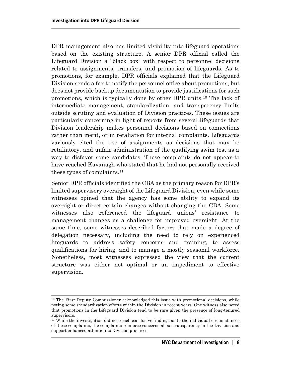DPR management also has limited visibility into lifeguard operations based on the existing structure. A senior DPR official called the Lifeguard Division a "black box" with respect to personnel decisions related to assignments, transfers, and promotion of lifeguards. As to promotions, for example, DPR officials explained that the Lifeguard Division sends a fax to notify the personnel office about promotions, but does not provide backup documentation to provide justifications for such promotions, which is typically done by other DPR units.<sup>10</sup> The lack of intermediate management, standardization, and transparency limits outside scrutiny and evaluation of Division practices. These issues are particularly concerning in light of reports from several lifeguards that Division leadership makes personnel decisions based on connections rather than merit, or in retaliation for internal complaints. Lifeguards variously cited the use of assignments as decisions that may be retaliatory, and unfair administration of the qualifying swim test as a way to disfavor some candidates. These complaints do not appear to have reached Kavanagh who stated that he had not personally received these types of complaints.<sup>11</sup>

Senior DPR officials identified the CBA as the primary reason for DPR's limited supervisory oversight of the Lifeguard Division, even while some witnesses opined that the agency has some ability to expand its oversight or direct certain changes without changing the CBA. Some witnesses also referenced the lifeguard unions' resistance to management changes as a challenge for improved oversight. At the same time, some witnesses described factors that made a degree of delegation necessary, including the need to rely on experienced lifeguards to address safety concerns and training, to assess qualifications for hiring, and to manage a mostly seasonal workforce. Nonetheless, most witnesses expressed the view that the current structure was either not optimal or an impediment to effective supervision.

<sup>&</sup>lt;sup>10</sup> The First Deputy Commissioner acknowledged this issue with promotional decisions, while noting some standardization efforts within the Division in recent years. One witness also noted that promotions in the Lifeguard Division tend to be rare given the presence of long-tenured supervisors.

<sup>11</sup> While the investigation did not reach conclusive findings as to the individual circumstances of these complaints, the complaints reinforce concerns about transparency in the Division and support enhanced attention to Division practices.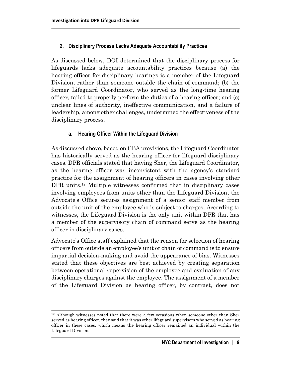#### **2. Disciplinary Process Lacks Adequate Accountability Practices**

As discussed below, DOI determined that the disciplinary process for lifeguards lacks adequate accountability practices because (a) the hearing officer for disciplinary hearings is a member of the Lifeguard Division, rather than someone outside the chain of command; (b) the former Lifeguard Coordinator, who served as the long-time hearing officer, failed to properly perform the duties of a hearing officer; and (c) unclear lines of authority, ineffective communication, and a failure of leadership, among other challenges, undermined the effectiveness of the disciplinary process.

#### **a. Hearing Officer Within the Lifeguard Division**

As discussed above, based on CBA provisions, the Lifeguard Coordinator has historically served as the hearing officer for lifeguard disciplinary cases. DPR officials stated that having Sher, the Lifeguard Coordinator, as the hearing officer was inconsistent with the agency's standard practice for the assignment of hearing officers in cases involving other DPR units.<sup>12</sup> Multiple witnesses confirmed that in disciplinary cases involving employees from units other than the Lifeguard Division, the Advocate's Office secures assignment of a senior staff member from outside the unit of the employee who is subject to charges. According to witnesses, the Lifeguard Division is the only unit within DPR that has a member of the supervisory chain of command serve as the hearing officer in disciplinary cases.

Advocate's Office staff explained that the reason for selection of hearing officers from outside an employee's unit or chain of command is to ensure impartial decision-making and avoid the appearance of bias. Witnesses stated that these objectives are best achieved by creating separation between operational supervision of the employee and evaluation of any disciplinary charges against the employee. The assignment of a member of the Lifeguard Division as hearing officer, by contrast, does not

<sup>12</sup> Although witnesses noted that there were a few occasions when someone other than Sher served as hearing officer, they said that it was other lifeguard supervisors who served as hearing officer in these cases, which means the hearing officer remained an individual within the Lifeguard Division.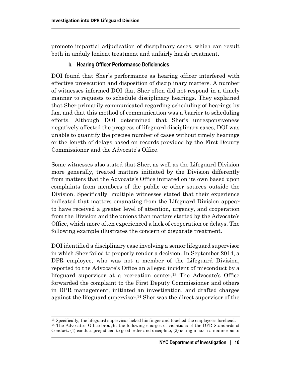promote impartial adjudication of disciplinary cases, which can result both in unduly lenient treatment and unfairly harsh treatment.

#### **b. Hearing Officer Performance Deficiencies**

DOI found that Sher's performance as hearing officer interfered with effective prosecution and disposition of disciplinary matters. A number of witnesses informed DOI that Sher often did not respond in a timely manner to requests to schedule disciplinary hearings. They explained that Sher primarily communicated regarding scheduling of hearings by fax, and that this method of communication was a barrier to scheduling efforts. Although DOI determined that Sher's unresponsiveness negatively affected the progress of lifeguard disciplinary cases, DOI was unable to quantify the precise number of cases without timely hearings or the length of delays based on records provided by the First Deputy Commissioner and the Advocate's Office.

Some witnesses also stated that Sher, as well as the Lifeguard Division more generally, treated matters initiated by the Division differently from matters that the Advocate's Office initiated on its own based upon complaints from members of the public or other sources outside the Division. Specifically, multiple witnesses stated that their experience indicated that matters emanating from the Lifeguard Division appear to have received a greater level of attention, urgency, and cooperation from the Division and the unions than matters started by the Advocate's Office, which more often experienced a lack of cooperation or delays. The following example illustrates the concern of disparate treatment.

DOI identified a disciplinary case involving a senior lifeguard supervisor in which Sher failed to properly render a decision. In September 2014, a DPR employee, who was not a member of the Lifeguard Division, reported to the Advocate's Office an alleged incident of misconduct by a lifeguard supervisor at a recreation center. <sup>13</sup> The Advocate's Office forwarded the complaint to the First Deputy Commissioner and others in DPR management, initiated an investigation, and drafted charges against the lifeguard supervisor. <sup>14</sup> Sher was the direct supervisor of the

<sup>&</sup>lt;sup>13</sup> Specifically, the lifeguard supervisor licked his finger and touched the employee's forehead. <sup>14</sup> The Advocate's Office brought the following charges of violations of the DPR Standards of Conduct: (1) conduct prejudicial to good order and discipline; (2) acting in such a manner as to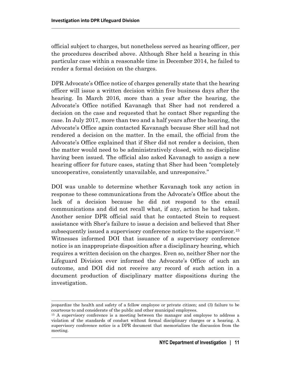official subject to charges, but nonetheless served as hearing officer, per the procedures described above. Although Sher held a hearing in this particular case within a reasonable time in December 2014, he failed to render a formal decision on the charges.

DPR Advocate's Office notice of charges generally state that the hearing officer will issue a written decision within five business days after the hearing. In March 2016, more than a year after the hearing, the Advocate's Office notified Kavanagh that Sher had not rendered a decision on the case and requested that he contact Sher regarding the case. In July 2017, more than two and a half years after the hearing, the Advocate's Office again contacted Kavanagh because Sher still had not rendered a decision on the matter. In the email, the official from the Advocate's Office explained that if Sher did not render a decision, then the matter would need to be administratively closed, with no discipline having been issued. The official also asked Kavanagh to assign a new hearing officer for future cases, stating that Sher had been "completely uncooperative, consistently unavailable, and unresponsive."

DOI was unable to determine whether Kavanagh took any action in response to these communications from the Advocate's Office about the lack of a decision because he did not respond to the email communications and did not recall what, if any, action he had taken. Another senior DPR official said that he contacted Stein to request assistance with Sher's failure to issue a decision and believed that Sher subsequently issued a supervisory conference notice to the supervisor.<sup>15</sup> Witnesses informed DOI that issuance of a supervisory conference notice is an inappropriate disposition after a disciplinary hearing, which requires a written decision on the charges. Even so, neither Sher nor the Lifeguard Division ever informed the Advocate's Office of such an outcome, and DOI did not receive any record of such action in a document production of disciplinary matter dispositions during the investigation.

jeopardize the health and safety of a fellow employee or private citizen; and (3) failure to be courteous to and considerate of the public and other municipal employees.

<sup>&</sup>lt;sup>15</sup> A supervisory conference is a meeting between the manager and employee to address a violation of the standards of conduct without formal disciplinary charges or a hearing. A supervisory conference notice is a DPR document that memorializes the discussion from the meeting.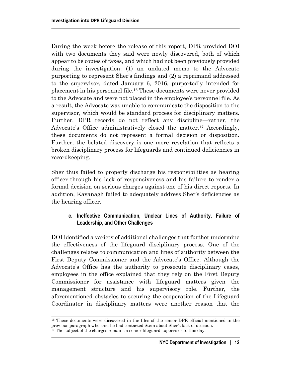During the week before the release of this report, DPR provided DOI with two documents they said were newly discovered, both of which appear to be copies of faxes, and which had not been previously provided during the investigation: (1) an undated memo to the Advocate purporting to represent Sher's findings and (2) a reprimand addressed to the supervisor, dated January 6, 2016, purportedly intended for placement in his personnel file. <sup>16</sup> These documents were never provided to the Advocate and were not placed in the employee's personnel file. As a result, the Advocate was unable to communicate the disposition to the supervisor, which would be standard process for disciplinary matters. Further, DPR records do not reflect any discipline—rather, the Advocate's Office administratively closed the matter. <sup>17</sup> Accordingly, these documents do not represent a formal decision or disposition. Further, the belated discovery is one more revelation that reflects a broken disciplinary process for lifeguards and continued deficiencies in recordkeeping.

Sher thus failed to properly discharge his responsibilities as hearing officer through his lack of responsiveness and his failure to render a formal decision on serious charges against one of his direct reports. In addition, Kavanagh failed to adequately address Sher's deficiencies as the hearing officer.

#### **c. Ineffective Communication, Unclear Lines of Authority, Failure of Leadership, and Other Challenges**

DOI identified a variety of additional challenges that further undermine the effectiveness of the lifeguard disciplinary process. One of the challenges relates to communication and lines of authority between the First Deputy Commissioner and the Advocate's Office. Although the Advocate's Office has the authority to prosecute disciplinary cases, employees in the office explained that they rely on the First Deputy Commissioner for assistance with lifeguard matters given the management structure and his supervisory role. Further, the aforementioned obstacles to securing the cooperation of the Lifeguard Coordinator in disciplinary matters were another reason that the

<sup>16</sup> These documents were discovered in the files of the senior DPR official mentioned in the previous paragraph who said he had contacted Stein about Sher's lack of decision.

<sup>&</sup>lt;sup>17</sup> The subject of the charges remains a senior lifeguard supervisor to this day.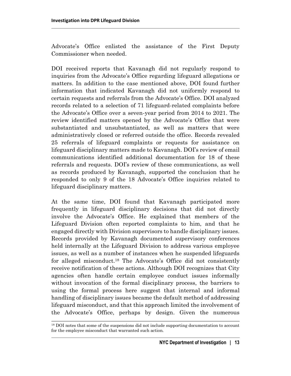Advocate's Office enlisted the assistance of the First Deputy Commissioner when needed.

DOI received reports that Kavanagh did not regularly respond to inquiries from the Advocate's Office regarding lifeguard allegations or matters. In addition to the case mentioned above, DOI found further information that indicated Kavanagh did not uniformly respond to certain requests and referrals from the Advocate's Office. DOI analyzed records related to a selection of 71 lifeguard-related complaints before the Advocate's Office over a seven-year period from 2014 to 2021. The review identified matters opened by the Advocate's Office that were substantiated and unsubstantiated, as well as matters that were administratively closed or referred outside the office. Records revealed 25 referrals of lifeguard complaints or requests for assistance on lifeguard disciplinary matters made to Kavanagh. DOI's review of email communications identified additional documentation for 18 of these referrals and requests. DOI's review of these communications, as well as records produced by Kavanagh, supported the conclusion that he responded to only 9 of the 18 Advocate's Office inquiries related to lifeguard disciplinary matters.

At the same time, DOI found that Kavanagh participated more frequently in lifeguard disciplinary decisions that did not directly involve the Advocate's Office. He explained that members of the Lifeguard Division often reported complaints to him, and that he engaged directly with Division supervisors to handle disciplinary issues. Records provided by Kavanagh documented supervisory conferences held internally at the Lifeguard Division to address various employee issues, as well as a number of instances when he suspended lifeguards for alleged misconduct.<sup>18</sup> The Advocate's Office did not consistently receive notification of these actions. Although DOI recognizes that City agencies often handle certain employee conduct issues informally without invocation of the formal disciplinary process, the barriers to using the formal process here suggest that internal and informal handling of disciplinary issues became the default method of addressing lifeguard misconduct, and that this approach limited the involvement of the Advocate's Office, perhaps by design. Given the numerous

<sup>&</sup>lt;sup>18</sup> DOI notes that some of the suspensions did not include supporting documentation to account for the employee misconduct that warranted such action.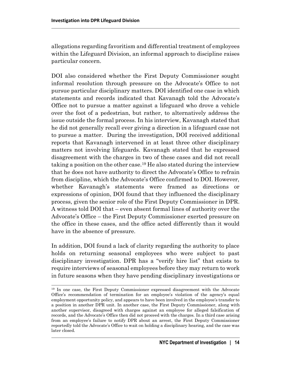allegations regarding favoritism and differential treatment of employees within the Lifeguard Division, an informal approach to discipline raises particular concern.

DOI also considered whether the First Deputy Commissioner sought informal resolution through pressure on the Advocate's Office to not pursue particular disciplinary matters. DOI identified one case in which statements and records indicated that Kavanagh told the Advocate's Office not to pursue a matter against a lifeguard who drove a vehicle over the foot of a pedestrian, but rather, to alternatively address the issue outside the formal process. In his interview, Kavanagh stated that he did not generally recall ever giving a direction in a lifeguard case not to pursue a matter. During the investigation, DOI received additional reports that Kavanagh intervened in at least three other disciplinary matters not involving lifeguards. Kavanagh stated that he expressed disagreement with the charges in two of these cases and did not recall taking a position on the other case.<sup>19</sup> He also stated during the interview that he does not have authority to direct the Advocate's Office to refrain from discipline, which the Advocate's Office confirmed to DOI. However, whether Kavanagh's statements were framed as directions or expressions of opinion, DOI found that they influenced the disciplinary process, given the senior role of the First Deputy Commissioner in DPR. A witness told DOI that – even absent formal lines of authority over the Advocate's Office – the First Deputy Commissioner exerted pressure on the office in these cases, and the office acted differently than it would have in the absence of pressure.

In addition, DOI found a lack of clarity regarding the authority to place holds on returning seasonal employees who were subject to past disciplinary investigation. DPR has a "verify hire list" that exists to require interviews of seasonal employees before they may return to work in future seasons when they have pending disciplinary investigations or

<sup>19</sup> In one case, the First Deputy Commissioner expressed disagreement with the Advocate Office's recommendation of termination for an employee's violation of the agency's equal employment opportunity policy, and appears to have been involved in the employee's transfer to a position in another DPR unit. In another case, the First Deputy Commissioner, along with another supervisor, disagreed with charges against an employee for alleged falsification of records, and the Advocate's Office then did not proceed with the charges. In a third case arising from an employee's failure to notify DPR about an arrest, the First Deputy Commissioner reportedly told the Advocate's Office to wait on holding a disciplinary hearing, and the case was later closed.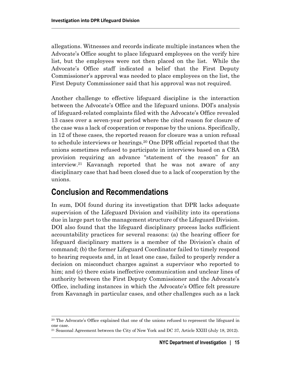allegations. Witnesses and records indicate multiple instances when the Advocate's Office sought to place lifeguard employees on the verify hire list, but the employees were not then placed on the list. While the Advocate's Office staff indicated a belief that the First Deputy Commissioner's approval was needed to place employees on the list, the First Deputy Commissioner said that his approval was not required.

Another challenge to effective lifeguard discipline is the interaction between the Advocate's Office and the lifeguard unions. DOI's analysis of lifeguard-related complaints filed with the Advocate's Office revealed 13 cases over a seven-year period where the cited reason for closure of the case was a lack of cooperation or response by the unions. Specifically, in 12 of these cases, the reported reason for closure was a union refusal to schedule interviews or hearings.<sup>20</sup> One DPR official reported that the unions sometimes refused to participate in interviews based on a CBA provision requiring an advance "statement of the reason" for an interview.<sup>21</sup> Kavanagh reported that he was not aware of any disciplinary case that had been closed due to a lack of cooperation by the unions.

### **Conclusion and Recommendations**

In sum, DOI found during its investigation that DPR lacks adequate supervision of the Lifeguard Division and visibility into its operations due in large part to the management structure of the Lifeguard Division. DOI also found that the lifeguard disciplinary process lacks sufficient accountability practices for several reasons: (a) the hearing officer for lifeguard disciplinary matters is a member of the Division's chain of command; (b) the former Lifeguard Coordinator failed to timely respond to hearing requests and, in at least one case, failed to properly render a decision on misconduct charges against a supervisor who reported to him; and (c) there exists ineffective communication and unclear lines of authority between the First Deputy Commissioner and the Advocate's Office, including instances in which the Advocate's Office felt pressure from Kavanagh in particular cases, and other challenges such as a lack

<sup>&</sup>lt;sup>20</sup> The Advocate's Office explained that one of the unions refused to represent the lifeguard in one case.

<sup>21</sup> Seasonal Agreement between the City of New York and DC 37, Article XXIII (July 18, 2012).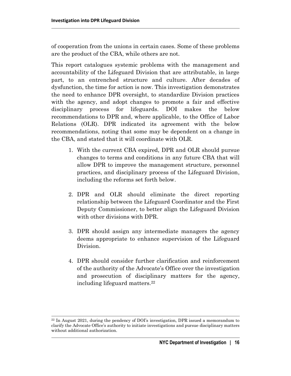of cooperation from the unions in certain cases. Some of these problems are the product of the CBA, while others are not.

This report catalogues systemic problems with the management and accountability of the Lifeguard Division that are attributable, in large part, to an entrenched structure and culture. After decades of dysfunction, the time for action is now. This investigation demonstrates the need to enhance DPR oversight, to standardize Division practices with the agency, and adopt changes to promote a fair and effective disciplinary process for lifeguards. DOI makes the below recommendations to DPR and, where applicable, to the Office of Labor Relations (OLR). DPR indicated its agreement with the below recommendations, noting that some may be dependent on a change in the CBA, and stated that it will coordinate with OLR.

- 1. With the current CBA expired, DPR and OLR should pursue changes to terms and conditions in any future CBA that will allow DPR to improve the management structure, personnel practices, and disciplinary process of the Lifeguard Division, including the reforms set forth below.
- 2. DPR and OLR should eliminate the direct reporting relationship between the Lifeguard Coordinator and the First Deputy Commissioner, to better align the Lifeguard Division with other divisions with DPR.
- 3. DPR should assign any intermediate managers the agency deems appropriate to enhance supervision of the Lifeguard Division.
- 4. DPR should consider further clarification and reinforcement of the authority of the Advocate's Office over the investigation and prosecution of disciplinary matters for the agency, including lifeguard matters. 22

<sup>22</sup> In August 2021, during the pendency of DOI's investigation, DPR issued a memorandum to clarify the Advocate Office's authority to initiate investigations and pursue disciplinary matters without additional authorization.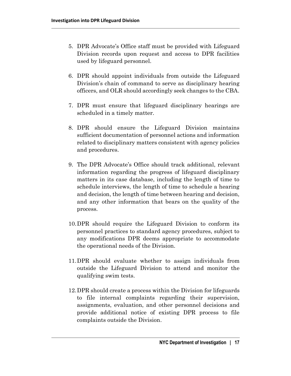- 5. DPR Advocate's Office staff must be provided with Lifeguard Division records upon request and access to DPR facilities used by lifeguard personnel.
- 6. DPR should appoint individuals from outside the Lifeguard Division's chain of command to serve as disciplinary hearing officers, and OLR should accordingly seek changes to the CBA.
- 7. DPR must ensure that lifeguard disciplinary hearings are scheduled in a timely matter.
- 8. DPR should ensure the Lifeguard Division maintains sufficient documentation of personnel actions and information related to disciplinary matters consistent with agency policies and procedures.
- 9. The DPR Advocate's Office should track additional, relevant information regarding the progress of lifeguard disciplinary matters in its case database, including the length of time to schedule interviews, the length of time to schedule a hearing and decision, the length of time between hearing and decision, and any other information that bears on the quality of the process.
- 10.DPR should require the Lifeguard Division to conform its personnel practices to standard agency procedures, subject to any modifications DPR deems appropriate to accommodate the operational needs of the Division.
- 11.DPR should evaluate whether to assign individuals from outside the Lifeguard Division to attend and monitor the qualifying swim tests.
- 12.DPR should create a process within the Division for lifeguards to file internal complaints regarding their supervision, assignments, evaluation, and other personnel decisions and provide additional notice of existing DPR process to file complaints outside the Division.